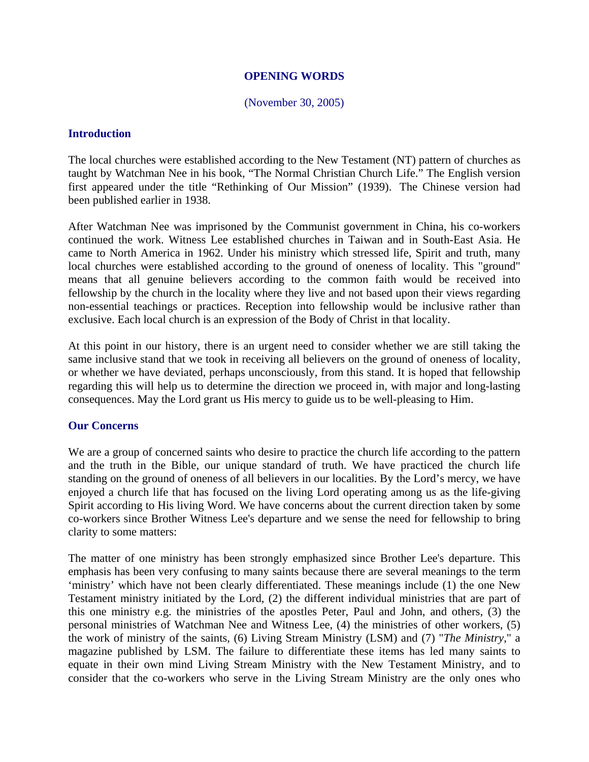### **OPENING WORDS**

#### (November 30, 2005)

#### **Introduction**

The local churches were established according to the New Testament (NT) pattern of churches as taught by Watchman Nee in his book, "The Normal Christian Church Life." The English version first appeared under the title "Rethinking of Our Mission" (1939). The Chinese version had been published earlier in 1938.

After Watchman Nee was imprisoned by the Communist government in China, his co-workers continued the work. Witness Lee established churches in Taiwan and in South-East Asia. He came to North America in 1962. Under his ministry which stressed life, Spirit and truth, many local churches were established according to the ground of oneness of locality. This "ground" means that all genuine believers according to the common faith would be received into fellowship by the church in the locality where they live and not based upon their views regarding non-essential teachings or practices. Reception into fellowship would be inclusive rather than exclusive. Each local church is an expression of the Body of Christ in that locality.

At this point in our history, there is an urgent need to consider whether we are still taking the same inclusive stand that we took in receiving all believers on the ground of oneness of locality, or whether we have deviated, perhaps unconsciously, from this stand. It is hoped that fellowship regarding this will help us to determine the direction we proceed in, with major and long-lasting consequences. May the Lord grant us His mercy to guide us to be well-pleasing to Him.

### **Our Concerns**

We are a group of concerned saints who desire to practice the church life according to the pattern and the truth in the Bible, our unique standard of truth. We have practiced the church life standing on the ground of oneness of all believers in our localities. By the Lord's mercy, we have enjoyed a church life that has focused on the living Lord operating among us as the life-giving Spirit according to His living Word. We have concerns about the current direction taken by some co-workers since Brother Witness Lee's departure and we sense the need for fellowship to bring clarity to some matters:

The matter of one ministry has been strongly emphasized since Brother Lee's departure. This emphasis has been very confusing to many saints because there are several meanings to the term 'ministry' which have not been clearly differentiated. These meanings include (1) the one New Testament ministry initiated by the Lord, (2) the different individual ministries that are part of this one ministry e.g. the ministries of the apostles Peter, Paul and John, and others, (3) the personal ministries of Watchman Nee and Witness Lee, (4) the ministries of other workers, (5) the work of ministry of the saints, (6) Living Stream Ministry (LSM) and (7) "*The Ministry*," a magazine published by LSM. The failure to differentiate these items has led many saints to equate in their own mind Living Stream Ministry with the New Testament Ministry, and to consider that the co-workers who serve in the Living Stream Ministry are the only ones who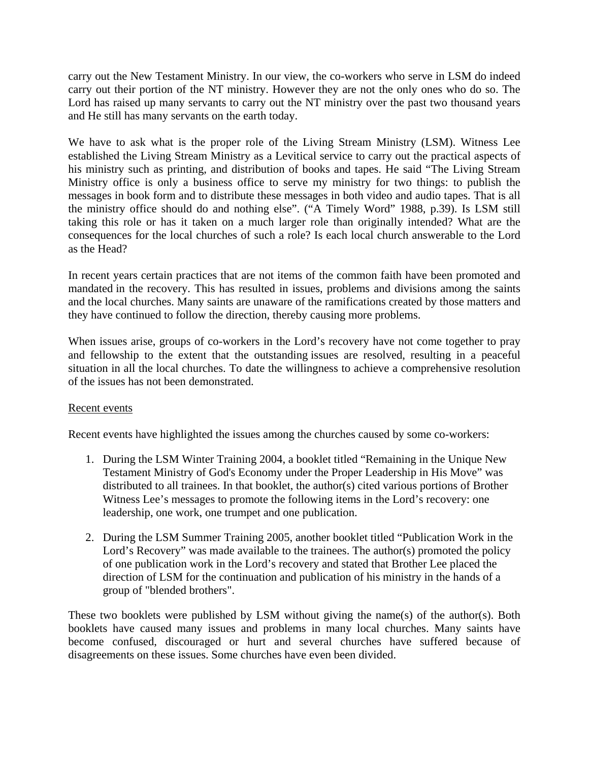carry out the New Testament Ministry. In our view, the co-workers who serve in LSM do indeed carry out their portion of the NT ministry. However they are not the only ones who do so. The Lord has raised up many servants to carry out the NT ministry over the past two thousand years and He still has many servants on the earth today.

We have to ask what is the proper role of the Living Stream Ministry (LSM). Witness Lee established the Living Stream Ministry as a Levitical service to carry out the practical aspects of his ministry such as printing, and distribution of books and tapes. He said "The Living Stream Ministry office is only a business office to serve my ministry for two things: to publish the messages in book form and to distribute these messages in both video and audio tapes. That is all the ministry office should do and nothing else". ("A Timely Word" 1988, p.39). Is LSM still taking this role or has it taken on a much larger role than originally intended? What are the consequences for the local churches of such a role? Is each local church answerable to the Lord as the Head?

In recent years certain practices that are not items of the common faith have been promoted and mandated in the recovery. This has resulted in issues, problems and divisions among the saints and the local churches. Many saints are unaware of the ramifications created by those matters and they have continued to follow the direction, thereby causing more problems.

When issues arise, groups of co-workers in the Lord's recovery have not come together to pray and fellowship to the extent that the outstanding issues are resolved, resulting in a peaceful situation in all the local churches. To date the willingness to achieve a comprehensive resolution of the issues has not been demonstrated.

# Recent events

Recent events have highlighted the issues among the churches caused by some co-workers:

- 1. During the LSM Winter Training 2004, a booklet titled "Remaining in the Unique New Testament Ministry of God's Economy under the Proper Leadership in His Move" was distributed to all trainees. In that booklet, the author(s) cited various portions of Brother Witness Lee's messages to promote the following items in the Lord's recovery: one leadership, one work, one trumpet and one publication.
- 2. During the LSM Summer Training 2005, another booklet titled "Publication Work in the Lord's Recovery" was made available to the trainees. The author(s) promoted the policy of one publication work in the Lord's recovery and stated that Brother Lee placed the direction of LSM for the continuation and publication of his ministry in the hands of a group of "blended brothers".

These two booklets were published by LSM without giving the name(s) of the author(s). Both booklets have caused many issues and problems in many local churches. Many saints have become confused, discouraged or hurt and several churches have suffered because of disagreements on these issues. Some churches have even been divided.